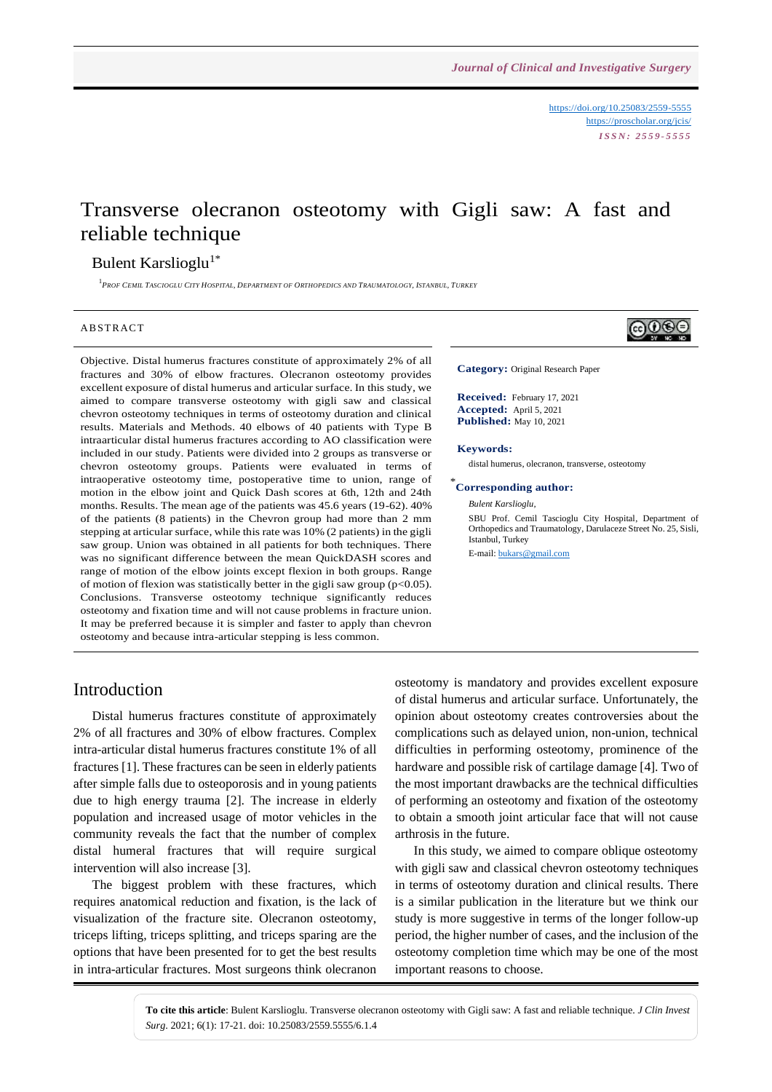<https://doi.org/10.25083/2559-5555> <https://proscholar.org/jcis/> *I S S N : 2 5 5 9 - 5 5 5 5*

# Transverse olecranon osteotomy with Gigli saw: A fast and reliable technique

### Bulent Karslioglu<sup>1\*</sup>

<sup>1</sup> Prof Cemil Tascioglu City Hospital, Department of Orthopedics and Traumatology, Istanbul, Turkey

#### **ABSTRACT**

Objective. Distal humerus fractures constitute of approximately 2% of all fractures and 30% of elbow fractures. Olecranon osteotomy provides excellent exposure of distal humerus and articular surface. In this study, we aimed to compare transverse osteotomy with gigli saw and classical chevron osteotomy techniques in terms of osteotomy duration and clinical results. Materials and Methods. 40 elbows of 40 patients with Type B intraarticular distal humerus fractures according to AO classification were included in our study. Patients were divided into 2 groups as transverse or chevron osteotomy groups. Patients were evaluated in terms of intraoperative osteotomy time, postoperative time to union, range of motion in the elbow joint and Quick Dash scores at 6th, 12th and 24th months. Results. The mean age of the patients was 45.6 years (19-62). 40% of the patients (8 patients) in the Chevron group had more than 2 mm stepping at articular surface, while this rate was 10% (2 patients) in the gigli saw group. Union was obtained in all patients for both techniques. There was no significant difference between the mean QuickDASH scores and range of motion of the elbow joints except flexion in both groups. Range of motion of flexion was statistically better in the gigli saw group ( $p<0.05$ ). Conclusions. Transverse osteotomy technique significantly reduces osteotomy and fixation time and will not cause problems in fracture union. It may be preferred because it is simpler and faster to apply than chevron osteotomy and because intra-articular stepping is less common.



**Category:** Original Research Paper

**Received:** February 17, 2021 **Accepted:** April 5, 2021 **Published:** May 10, 2021

#### **Keywords:**

distal humerus, olecranon, transverse, osteotomy

### \* **Corresponding author:**

*Bulent Karslioglu,*

SBU Prof. Cemil Tascioglu City Hospital, Department of Orthopedics and Traumatology, Darulaceze Street No. 25, Sisli, Istanbul, Turkey

E-mail[: bukars@gmail.com](mailto:bukars@gmail.com)

### Introduction

Distal humerus fractures constitute of approximately 2% of all fractures and 30% of elbow fractures. Complex intra-articular distal humerus fractures constitute 1% of all fractures [1]. These fractures can be seen in elderly patients after simple falls due to osteoporosis and in young patients due to high energy trauma [2]. The increase in elderly population and increased usage of motor vehicles in the community reveals the fact that the number of complex distal humeral fractures that will require surgical intervention will also increase [3].

The biggest problem with these fractures, which requires anatomical reduction and fixation, is the lack of visualization of the fracture site. Olecranon osteotomy, triceps lifting, triceps splitting, and triceps sparing are the options that have been presented for to get the best results in intra-articular fractures. Most surgeons think olecranon osteotomy is mandatory and provides excellent exposure of distal humerus and articular surface. Unfortunately, the opinion about osteotomy creates controversies about the complications such as delayed union, non-union, technical difficulties in performing osteotomy, prominence of the hardware and possible risk of cartilage damage [4]. Two of the most important drawbacks are the technical difficulties of performing an osteotomy and fixation of the osteotomy to obtain a smooth joint articular face that will not cause arthrosis in the future.

In this study, we aimed to compare oblique osteotomy with gigli saw and classical chevron osteotomy techniques in terms of osteotomy duration and clinical results. There is a similar publication in the literature but we think our study is more suggestive in terms of the longer follow-up period, the higher number of cases, and the inclusion of the osteotomy completion time which may be one of the most important reasons to choose.

**To cite this article**: Bulent Karslioglu. Transverse olecranon osteotomy with Gigli saw: A fast and reliable technique. *J Clin Invest Surg*. 2021; 6(1): 17-21. doi: 10.25083/2559.5555/6.1.4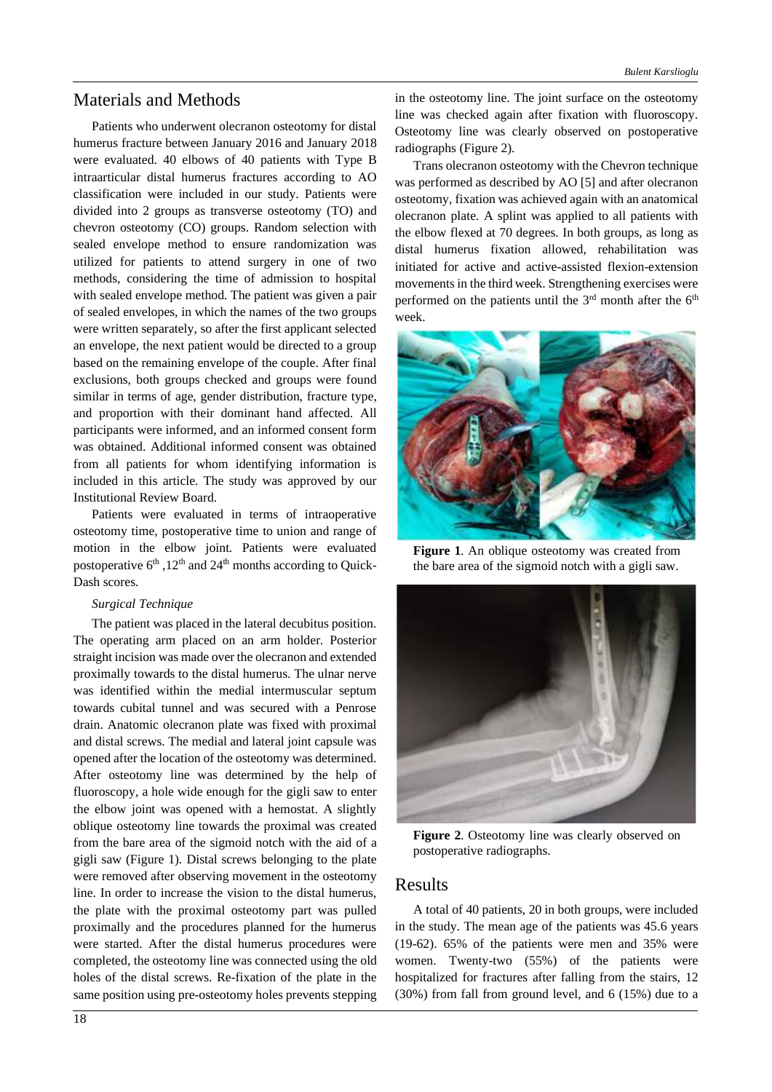### Materials and Methods

Patients who underwent olecranon osteotomy for distal humerus fracture between January 2016 and January 2018 were evaluated. 40 elbows of 40 patients with Type B intraarticular distal humerus fractures according to AO classification were included in our study. Patients were divided into 2 groups as transverse osteotomy (TO) and chevron osteotomy (CO) groups. Random selection with sealed envelope method to ensure randomization was utilized for patients to attend surgery in one of two methods, considering the time of admission to hospital with sealed envelope method. The patient was given a pair of sealed envelopes, in which the names of the two groups were written separately, so after the first applicant selected an envelope, the next patient would be directed to a group based on the remaining envelope of the couple. After final exclusions, both groups checked and groups were found similar in terms of age, gender distribution, fracture type, and proportion with their dominant hand affected. All participants were informed, and an informed consent form was obtained. Additional informed consent was obtained from all patients for whom identifying information is included in this article. The study was approved by our Institutional Review Board.

Patients were evaluated in terms of intraoperative osteotomy time, postoperative time to union and range of motion in the elbow joint. Patients were evaluated postoperative  $6<sup>th</sup>$ ,  $12<sup>th</sup>$  and  $24<sup>th</sup>$  months according to Quick-Dash scores.

### *Surgical Technique*

The patient was placed in the lateral decubitus position. The operating arm placed on an arm holder. Posterior straight incision was made over the olecranon and extended proximally towards to the distal humerus. The ulnar nerve was identified within the medial intermuscular septum towards cubital tunnel and was secured with a Penrose drain. Anatomic olecranon plate was fixed with proximal and distal screws. The medial and lateral joint capsule was opened after the location of the osteotomy was determined. After osteotomy line was determined by the help of fluoroscopy, a hole wide enough for the gigli saw to enter the elbow joint was opened with a hemostat. A slightly oblique osteotomy line towards the proximal was created from the bare area of the sigmoid notch with the aid of a gigli saw (Figure 1). Distal screws belonging to the plate were removed after observing movement in the osteotomy line. In order to increase the vision to the distal humerus, the plate with the proximal osteotomy part was pulled proximally and the procedures planned for the humerus were started. After the distal humerus procedures were completed, the osteotomy line was connected using the old holes of the distal screws. Re-fixation of the plate in the same position using pre-osteotomy holes prevents stepping in the osteotomy line. The joint surface on the osteotomy line was checked again after fixation with fluoroscopy. Osteotomy line was clearly observed on postoperative radiographs (Figure 2).

Trans olecranon osteotomy with the Chevron technique was performed as described by AO [5] and after olecranon osteotomy, fixation was achieved again with an anatomical olecranon plate. A splint was applied to all patients with the elbow flexed at 70 degrees. In both groups, as long as distal humerus fixation allowed, rehabilitation was initiated for active and active-assisted flexion-extension movements in the third week. Strengthening exercises were performed on the patients until the  $3<sup>rd</sup>$  month after the  $6<sup>th</sup>$ week.



**Figure 1**. An oblique osteotomy was created from the bare area of the sigmoid notch with a gigli saw.



**Figure 2**. Osteotomy line was clearly observed on postoperative radiographs.

### Results

A total of 40 patients, 20 in both groups, were included in the study. The mean age of the patients was 45.6 years (19-62). 65% of the patients were men and 35% were women. Twenty-two (55%) of the patients were hospitalized for fractures after falling from the stairs, 12 (30%) from fall from ground level, and 6 (15%) due to a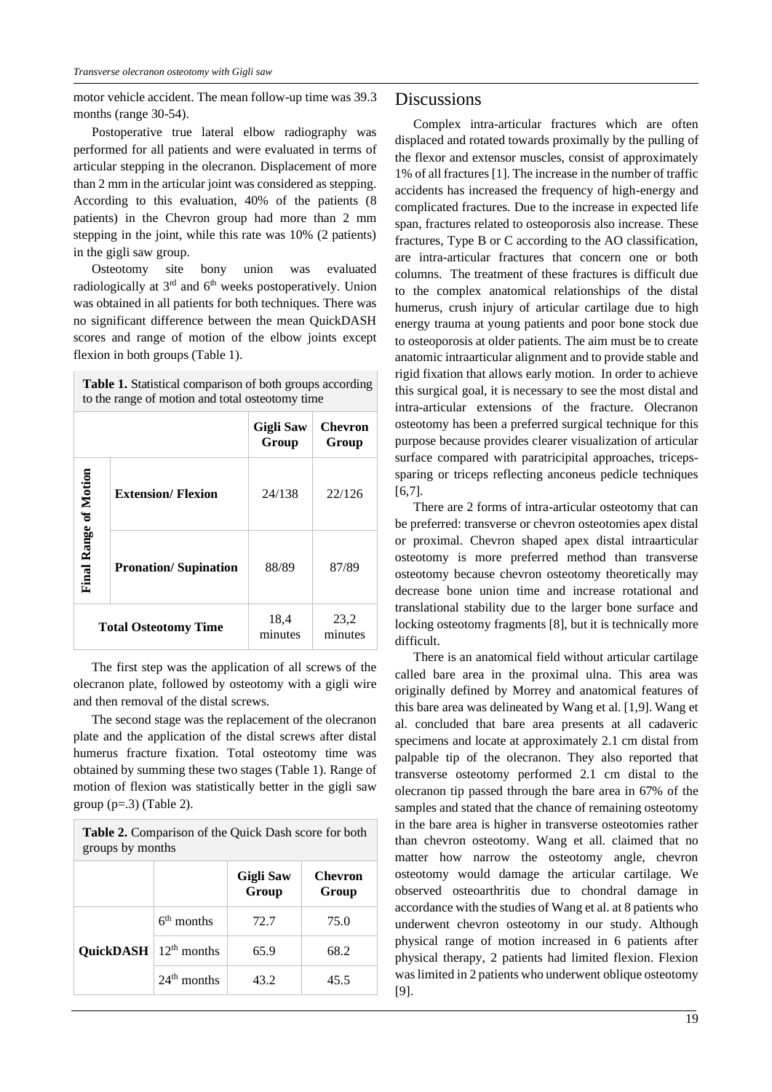motor vehicle accident. The mean follow-up time was 39.3 months (range 30-54).

Postoperative true lateral elbow radiography was performed for all patients and were evaluated in terms of articular stepping in the olecranon. Displacement of more than 2 mm in the articular joint was considered as stepping. According to this evaluation, 40% of the patients (8 patients) in the Chevron group had more than 2 mm stepping in the joint, while this rate was 10% (2 patients) in the gigli saw group.

Osteotomy site bony union was evaluated radiologically at  $3<sup>rd</sup>$  and  $6<sup>th</sup>$  weeks postoperatively. Union was obtained in all patients for both techniques. There was no significant difference between the mean QuickDASH scores and range of motion of the elbow joints except flexion in both groups (Table 1).

**Table 1.** Statistical comparison of both groups according to the range of motion and total osteotomy time

|                              |                             | <b>Gigli Saw</b><br>Group | <b>Chevron</b><br>Group |
|------------------------------|-----------------------------|---------------------------|-------------------------|
| <b>Final Range of Motion</b> | <b>Extension/Flexion</b>    | 24/138                    | 22/126                  |
|                              | <b>Pronation/Supination</b> | 88/89                     | 87/89                   |
| <b>Total Osteotomy Time</b>  |                             | 18,4<br>minutes           | 23,2<br>minutes         |

The first step was the application of all screws of the olecranon plate, followed by osteotomy with a gigli wire and then removal of the distal screws.

The second stage was the replacement of the olecranon plate and the application of the distal screws after distal humerus fracture fixation. Total osteotomy time was obtained by summing these two stages (Table 1). Range of motion of flexion was statistically better in the gigli saw group  $(p=.3)$  (Table 2).

| <b>Table 2.</b> Comparison of the Quick Dash score for both<br>groups by months |               |                           |                  |  |  |
|---------------------------------------------------------------------------------|---------------|---------------------------|------------------|--|--|
|                                                                                 |               | <b>Gigli Saw</b><br>Group | Chevron<br>Group |  |  |
|                                                                                 | $6th$ months  | 72.7                      | 75.0             |  |  |
| <b>QuickDASH</b> $ 12^{th}$ months                                              |               | 65.9                      | 68.2             |  |  |
|                                                                                 | $24th$ months | 43.2                      | 45.5             |  |  |

### Discussions

Complex intra-articular fractures which are often displaced and rotated towards proximally by the pulling of the flexor and extensor muscles, consist of approximately 1% of all fractures [1]. The increase in the number of traffic accidents has increased the frequency of high-energy and complicated fractures. Due to the increase in expected life span, fractures related to osteoporosis also increase. These fractures, Type B or C according to the AO classification, are intra-articular fractures that concern one or both columns. The treatment of these fractures is difficult due to the complex anatomical relationships of the distal humerus, crush injury of articular cartilage due to high energy trauma at young patients and poor bone stock due to osteoporosis at older patients. The aim must be to create anatomic intraarticular alignment and to provide stable and rigid fixation that allows early motion. In order to achieve this surgical goal, it is necessary to see the most distal and intra-articular extensions of the fracture. Olecranon osteotomy has been a preferred surgical technique for this purpose because provides clearer visualization of articular surface compared with paratricipital approaches, tricepssparing or triceps reflecting anconeus pedicle techniques [6,7].

There are 2 forms of intra-articular osteotomy that can be preferred: transverse or chevron osteotomies apex distal or proximal. Chevron shaped apex distal intraarticular osteotomy is more preferred method than transverse osteotomy because chevron osteotomy theoretically may decrease bone union time and increase rotational and translational stability due to the larger bone surface and locking osteotomy fragments [8], but it is technically more difficult.

There is an anatomical field without articular cartilage called bare area in the proximal ulna. This area was originally defined by Morrey and anatomical features of this bare area was delineated by Wang et al. [1,9]. Wang et al. concluded that bare area presents at all cadaveric specimens and locate at approximately 2.1 cm distal from palpable tip of the olecranon. They also reported that transverse osteotomy performed 2.1 cm distal to the olecranon tip passed through the bare area in 67% of the samples and stated that the chance of remaining osteotomy in the bare area is higher in transverse osteotomies rather than chevron osteotomy. Wang et all. claimed that no matter how narrow the osteotomy angle, chevron osteotomy would damage the articular cartilage. We observed osteoarthritis due to chondral damage in accordance with the studies of Wang et al. at 8 patients who underwent chevron osteotomy in our study. Although physical range of motion increased in 6 patients after physical therapy, 2 patients had limited flexion. Flexion was limited in 2 patients who underwent oblique osteotomy [9].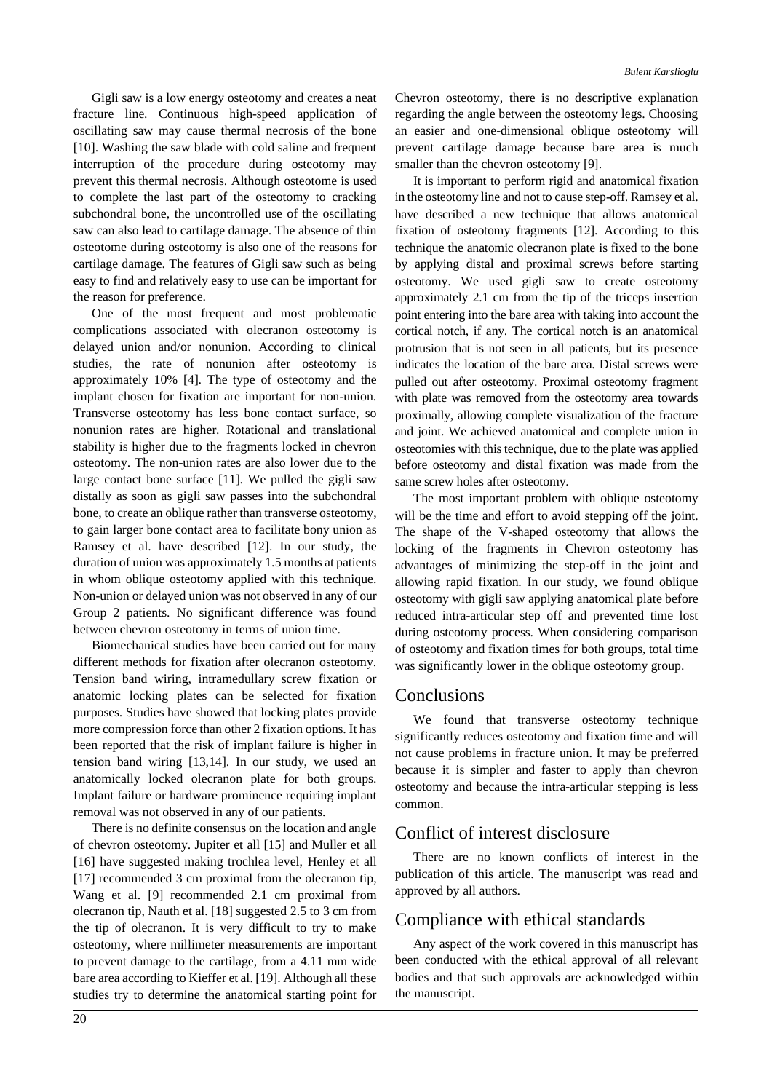Gigli saw is a low energy osteotomy and creates a neat fracture line. Continuous high-speed application of oscillating saw may cause thermal necrosis of the bone [10]. Washing the saw blade with cold saline and frequent interruption of the procedure during osteotomy may prevent this thermal necrosis. Although osteotome is used to complete the last part of the osteotomy to cracking subchondral bone, the uncontrolled use of the oscillating saw can also lead to cartilage damage. The absence of thin osteotome during osteotomy is also one of the reasons for cartilage damage. The features of Gigli saw such as being easy to find and relatively easy to use can be important for the reason for preference.

One of the most frequent and most problematic complications associated with olecranon osteotomy is delayed union and/or nonunion. According to clinical studies, the rate of nonunion after osteotomy is approximately 10% [4]. The type of osteotomy and the implant chosen for fixation are important for non-union. Transverse osteotomy has less bone contact surface, so nonunion rates are higher. Rotational and translational stability is higher due to the fragments locked in chevron osteotomy. The non-union rates are also lower due to the large contact bone surface [11]. We pulled the gigli saw distally as soon as gigli saw passes into the subchondral bone, to create an oblique rather than transverse osteotomy, to gain larger bone contact area to facilitate bony union as Ramsey et al. have described [12]. In our study, the duration of union was approximately 1.5 months at patients in whom oblique osteotomy applied with this technique. Non-union or delayed union was not observed in any of our Group 2 patients. No significant difference was found between chevron osteotomy in terms of union time.

Biomechanical studies have been carried out for many different methods for fixation after olecranon osteotomy. Tension band wiring, intramedullary screw fixation or anatomic locking plates can be selected for fixation purposes. Studies have showed that locking plates provide more compression force than other 2 fixation options. It has been reported that the risk of implant failure is higher in tension band wiring [13,14]. In our study, we used an anatomically locked olecranon plate for both groups. Implant failure or hardware prominence requiring implant removal was not observed in any of our patients.

There is no definite consensus on the location and angle of chevron osteotomy. Jupiter et all [15] and Muller et all [16] have suggested making trochlea level, Henley et all [17] recommended 3 cm proximal from the olecranon tip, Wang et al. [9] recommended 2.1 cm proximal from olecranon tip, Nauth et al. [18] suggested 2.5 to 3 cm from the tip of olecranon. It is very difficult to try to make osteotomy, where millimeter measurements are important to prevent damage to the cartilage, from a 4.11 mm wide bare area according to Kieffer et al. [19]. Although all these studies try to determine the anatomical starting point for Chevron osteotomy, there is no descriptive explanation regarding the angle between the osteotomy legs. Choosing an easier and one-dimensional oblique osteotomy will prevent cartilage damage because bare area is much smaller than the chevron osteotomy [9].

It is important to perform rigid and anatomical fixation in the osteotomy line and not to cause step-off. Ramsey et al. have described a new technique that allows anatomical fixation of osteotomy fragments [12]. According to this technique the anatomic olecranon plate is fixed to the bone by applying distal and proximal screws before starting osteotomy. We used gigli saw to create osteotomy approximately 2.1 cm from the tip of the triceps insertion point entering into the bare area with taking into account the cortical notch, if any. The cortical notch is an anatomical protrusion that is not seen in all patients, but its presence indicates the location of the bare area. Distal screws were pulled out after osteotomy. Proximal osteotomy fragment with plate was removed from the osteotomy area towards proximally, allowing complete visualization of the fracture and joint. We achieved anatomical and complete union in osteotomies with this technique, due to the plate was applied before osteotomy and distal fixation was made from the same screw holes after osteotomy.

The most important problem with oblique osteotomy will be the time and effort to avoid stepping off the joint. The shape of the V-shaped osteotomy that allows the locking of the fragments in Chevron osteotomy has advantages of minimizing the step-off in the joint and allowing rapid fixation. In our study, we found oblique osteotomy with gigli saw applying anatomical plate before reduced intra-articular step off and prevented time lost during osteotomy process. When considering comparison of osteotomy and fixation times for both groups, total time was significantly lower in the oblique osteotomy group.

### Conclusions

We found that transverse osteotomy technique significantly reduces osteotomy and fixation time and will not cause problems in fracture union. It may be preferred because it is simpler and faster to apply than chevron osteotomy and because the intra-articular stepping is less common.

# Conflict of interest disclosure

There are no known conflicts of interest in the publication of this article. The manuscript was read and approved by all authors.

## Compliance with ethical standards

Any aspect of the work covered in this manuscript has been conducted with the ethical approval of all relevant bodies and that such approvals are acknowledged within the manuscript.